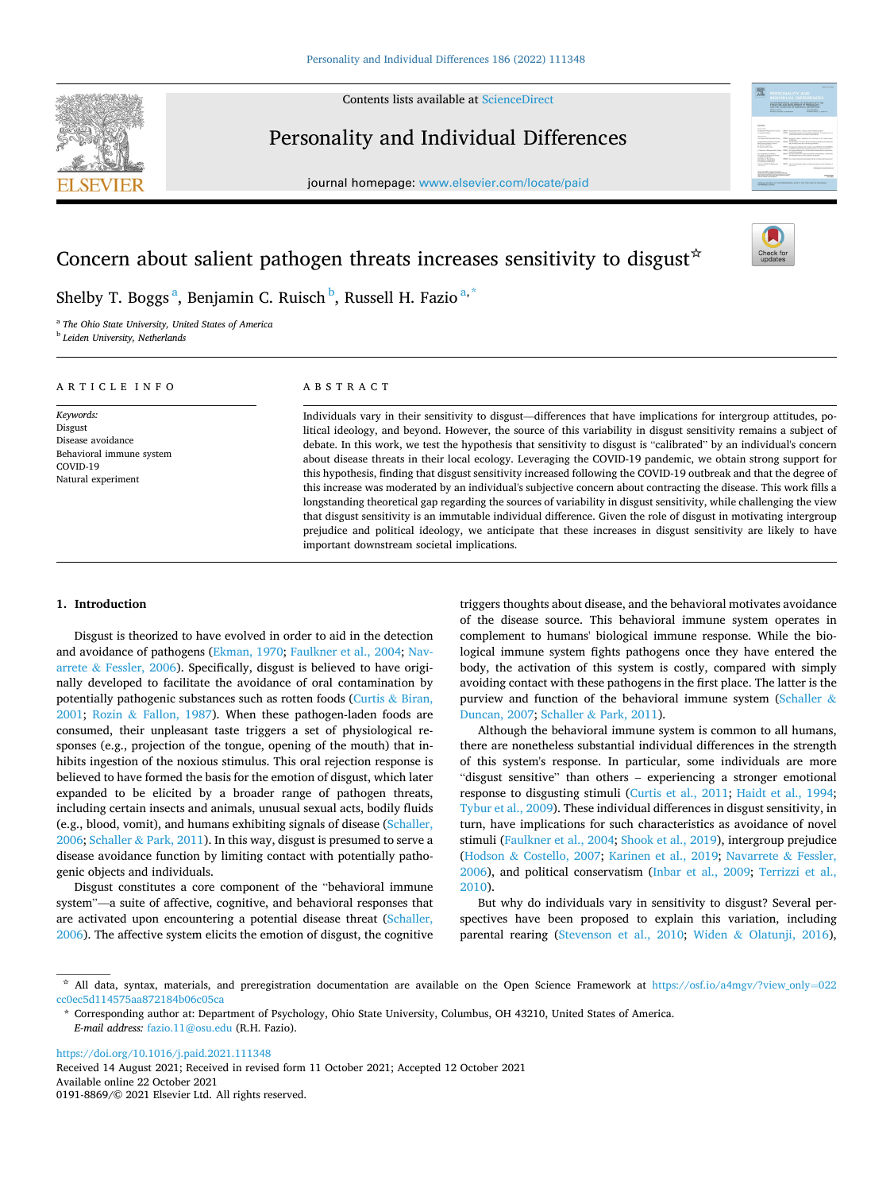Contents lists available at [ScienceDirect](www.sciencedirect.com/science/journal/01918869)



# Personality and Individual Differences

journal homepage: [www.elsevier.com/locate/paid](https://www.elsevier.com/locate/paid)



# Concern about salient pathogen threats increases sensitivity to disgust  $\dot{\sigma}$



Shelby T. Boggs <sup>a</sup>, Benjamin C. Ruisch <sup>b</sup>, Russell H. Fazio <sup>a, \*</sup>

<sup>a</sup> *The Ohio State University, United States of America* <sup>b</sup> *Leiden University, Netherlands* 

## ARTICLE INFO

*Keywords:*  Disgust Disease avoidance Behavioral immune system COVID-19 Natural experiment

## ABSTRACT

Individuals vary in their sensitivity to disgust—differences that have implications for intergroup attitudes, political ideology, and beyond. However, the source of this variability in disgust sensitivity remains a subject of debate. In this work, we test the hypothesis that sensitivity to disgust is "calibrated" by an individual's concern about disease threats in their local ecology. Leveraging the COVID-19 pandemic, we obtain strong support for this hypothesis, finding that disgust sensitivity increased following the COVID-19 outbreak and that the degree of this increase was moderated by an individual's subjective concern about contracting the disease. This work fills a longstanding theoretical gap regarding the sources of variability in disgust sensitivity, while challenging the view that disgust sensitivity is an immutable individual difference. Given the role of disgust in motivating intergroup prejudice and political ideology, we anticipate that these increases in disgust sensitivity are likely to have important downstream societal implications.

## **1. Introduction**

Disgust is theorized to have evolved in order to aid in the detection and avoidance of pathogens [\(Ekman, 1970;](#page-7-0) [Faulkner et al., 2004](#page-7-0); [Nav](#page-7-0)arrete & [Fessler, 2006\)](#page-7-0). Specifically, disgust is believed to have originally developed to facilitate the avoidance of oral contamination by potentially pathogenic substances such as rotten foods ([Curtis](#page-7-0) & Biran, [2001;](#page-7-0) Rozin & [Fallon, 1987](#page-7-0)). When these pathogen-laden foods are consumed, their unpleasant taste triggers a set of physiological responses (e.g., projection of the tongue, opening of the mouth) that inhibits ingestion of the noxious stimulus. This oral rejection response is believed to have formed the basis for the emotion of disgust, which later expanded to be elicited by a broader range of pathogen threats, including certain insects and animals, unusual sexual acts, bodily fluids (e.g., blood, vomit), and humans exhibiting signals of disease [\(Schaller,](#page-7-0)  [2006;](#page-7-0) Schaller & [Park, 2011\)](#page-7-0). In this way, disgust is presumed to serve a disease avoidance function by limiting contact with potentially pathogenic objects and individuals.

Disgust constitutes a core component of the "behavioral immune system"—a suite of affective, cognitive, and behavioral responses that are activated upon encountering a potential disease threat [\(Schaller,](#page-7-0)  [2006\)](#page-7-0). The affective system elicits the emotion of disgust, the cognitive triggers thoughts about disease, and the behavioral motivates avoidance of the disease source. This behavioral immune system operates in complement to humans' biological immune response. While the biological immune system fights pathogens once they have entered the body, the activation of this system is costly, compared with simply avoiding contact with these pathogens in the first place. The latter is the purview and function of the behavioral immune system [\(Schaller](#page-7-0)  $\&$ [Duncan, 2007](#page-7-0); Schaller & [Park, 2011\)](#page-7-0).

Although the behavioral immune system is common to all humans, there are nonetheless substantial individual differences in the strength of this system's response. In particular, some individuals are more "disgust sensitive" than others – experiencing a stronger emotional response to disgusting stimuli ([Curtis et al., 2011;](#page-7-0) [Haidt et al., 1994](#page-7-0); [Tybur et al., 2009\)](#page-7-0). These individual differences in disgust sensitivity, in turn, have implications for such characteristics as avoidance of novel stimuli [\(Faulkner et al., 2004](#page-7-0); [Shook et al., 2019\)](#page-7-0), intergroup prejudice (Hodson & [Costello, 2007;](#page-7-0) [Karinen et al., 2019;](#page-7-0) [Navarrete](#page-7-0) & Fessler, [2006\)](#page-7-0), and political conservatism [\(Inbar et al., 2009](#page-7-0); [Terrizzi et al.,](#page-7-0)  [2010\)](#page-7-0).

But why do individuals vary in sensitivity to disgust? Several perspectives have been proposed to explain this variation, including parental rearing [\(Stevenson et al., 2010;](#page-7-0) Widen & [Olatunji, 2016](#page-7-0)),

<https://doi.org/10.1016/j.paid.2021.111348>

Available online 22 October 2021 0191-8869/© 2021 Elsevier Ltd. All rights reserved. Received 14 August 2021; Received in revised form 11 October 2021; Accepted 12 October 2021

<sup>☆</sup> All data, syntax, materials, and preregistration documentation are available on the Open Science Framework at [https://osf.io/a4mgv/?view\\_only](https://osf.io/a4mgv/?view_only=022cc0ec5d114575aa872184b06c05ca)=022 [cc0ec5d114575aa872184b06c05ca](https://osf.io/a4mgv/?view_only=022cc0ec5d114575aa872184b06c05ca)

<sup>\*</sup> Corresponding author at: Department of Psychology, Ohio State University, Columbus, OH 43210, United States of America. *E-mail address:* [fazio.11@osu.edu](mailto:fazio.11@osu.edu) (R.H. Fazio).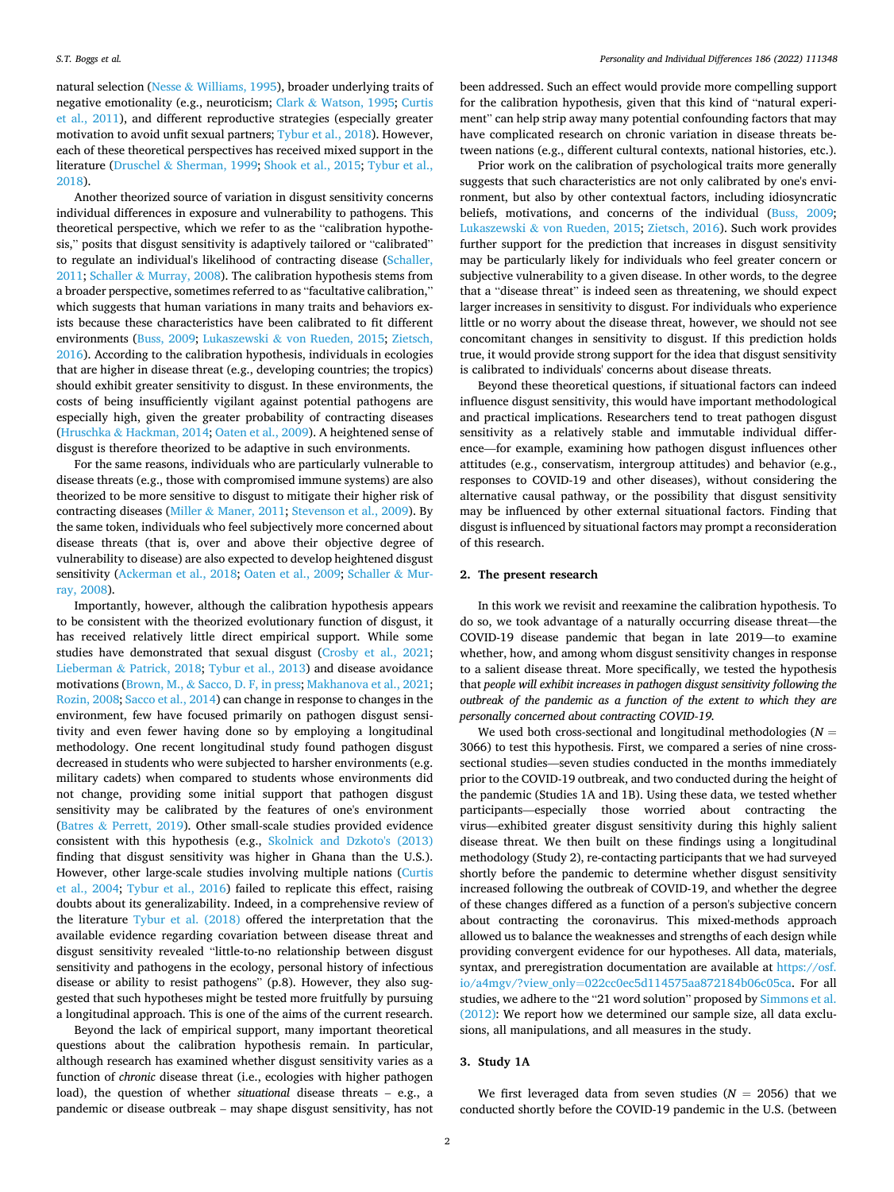natural selection (Nesse & [Williams, 1995](#page-7-0)), broader underlying traits of negative emotionality (e.g., neuroticism; Clark & [Watson, 1995;](#page-7-0) [Curtis](#page-7-0)  [et al., 2011\)](#page-7-0), and different reproductive strategies (especially greater motivation to avoid unfit sexual partners; [Tybur et al., 2018\)](#page-7-0). However, each of these theoretical perspectives has received mixed support in the literature (Druschel & [Sherman, 1999; Shook et al., 2015; Tybur et al.,](#page-7-0)  [2018\)](#page-7-0).

Another theorized source of variation in disgust sensitivity concerns individual differences in exposure and vulnerability to pathogens. This theoretical perspective, which we refer to as the "calibration hypothesis," posits that disgust sensitivity is adaptively tailored or "calibrated" to regulate an individual's likelihood of contracting disease [\(Schaller,](#page-7-0)  [2011;](#page-7-0) Schaller & [Murray, 2008](#page-7-0)). The calibration hypothesis stems from a broader perspective, sometimes referred to as "facultative calibration," which suggests that human variations in many traits and behaviors exists because these characteristics have been calibrated to fit different environments ([Buss, 2009](#page-7-0); Lukaszewski & [von Rueden, 2015](#page-7-0); [Zietsch,](#page-7-0)  [2016\)](#page-7-0). According to the calibration hypothesis, individuals in ecologies that are higher in disease threat (e.g., developing countries; the tropics) should exhibit greater sensitivity to disgust. In these environments, the costs of being insufficiently vigilant against potential pathogens are especially high, given the greater probability of contracting diseases (Hruschka & [Hackman, 2014](#page-7-0); [Oaten et al., 2009\)](#page-7-0). A heightened sense of disgust is therefore theorized to be adaptive in such environments.

For the same reasons, individuals who are particularly vulnerable to disease threats (e.g., those with compromised immune systems) are also theorized to be more sensitive to disgust to mitigate their higher risk of contracting diseases (Miller & [Maner, 2011](#page-7-0); [Stevenson et al., 2009](#page-7-0)). By the same token, individuals who feel subjectively more concerned about disease threats (that is, over and above their objective degree of vulnerability to disease) are also expected to develop heightened disgust sensitivity [\(Ackerman et al., 2018;](#page-7-0) [Oaten et al., 2009](#page-7-0); [Schaller](#page-7-0) & Mur[ray, 2008\)](#page-7-0).

Importantly, however, although the calibration hypothesis appears to be consistent with the theorized evolutionary function of disgust, it has received relatively little direct empirical support. While some studies have demonstrated that sexual disgust ([Crosby et al., 2021](#page-7-0); Lieberman & [Patrick, 2018](#page-7-0); [Tybur et al., 2013\)](#page-7-0) and disease avoidance motivations (Brown, M., & [Sacco, D. F, in press; Makhanova et al., 2021](#page-7-0); [Rozin, 2008; Sacco et al., 2014](#page-7-0)) can change in response to changes in the environment, few have focused primarily on pathogen disgust sensitivity and even fewer having done so by employing a longitudinal methodology. One recent longitudinal study found pathogen disgust decreased in students who were subjected to harsher environments (e.g. military cadets) when compared to students whose environments did not change, providing some initial support that pathogen disgust sensitivity may be calibrated by the features of one's environment (Batres & [Perrett, 2019](#page-7-0)). Other small-scale studies provided evidence consistent with this hypothesis (e.g., [Skolnick and Dzkoto's \(2013\)](#page-7-0)  finding that disgust sensitivity was higher in Ghana than the U.S.). However, other large-scale studies involving multiple nations ([Curtis](#page-7-0)  [et al., 2004](#page-7-0); [Tybur et al., 2016\)](#page-7-0) failed to replicate this effect, raising doubts about its generalizability. Indeed, in a comprehensive review of the literature [Tybur et al. \(2018\)](#page-7-0) offered the interpretation that the available evidence regarding covariation between disease threat and disgust sensitivity revealed "little-to-no relationship between disgust sensitivity and pathogens in the ecology, personal history of infectious disease or ability to resist pathogens" (p.8). However, they also suggested that such hypotheses might be tested more fruitfully by pursuing a longitudinal approach. This is one of the aims of the current research.

Beyond the lack of empirical support, many important theoretical questions about the calibration hypothesis remain. In particular, although research has examined whether disgust sensitivity varies as a function of *chronic* disease threat (i.e., ecologies with higher pathogen load), the question of whether *situational* disease threats – e.g., a pandemic or disease outbreak – may shape disgust sensitivity, has not

been addressed. Such an effect would provide more compelling support for the calibration hypothesis, given that this kind of "natural experiment" can help strip away many potential confounding factors that may have complicated research on chronic variation in disease threats between nations (e.g., different cultural contexts, national histories, etc.).

Prior work on the calibration of psychological traits more generally suggests that such characteristics are not only calibrated by one's environment, but also by other contextual factors, including idiosyncratic beliefs, motivations, and concerns of the individual [\(Buss, 2009](#page-7-0); Lukaszewski & [von Rueden, 2015;](#page-7-0) [Zietsch, 2016\)](#page-7-0). Such work provides further support for the prediction that increases in disgust sensitivity may be particularly likely for individuals who feel greater concern or subjective vulnerability to a given disease. In other words, to the degree that a "disease threat" is indeed seen as threatening, we should expect larger increases in sensitivity to disgust. For individuals who experience little or no worry about the disease threat, however, we should not see concomitant changes in sensitivity to disgust. If this prediction holds true, it would provide strong support for the idea that disgust sensitivity is calibrated to individuals' concerns about disease threats.

Beyond these theoretical questions, if situational factors can indeed influence disgust sensitivity, this would have important methodological and practical implications. Researchers tend to treat pathogen disgust sensitivity as a relatively stable and immutable individual difference—for example, examining how pathogen disgust influences other attitudes (e.g., conservatism, intergroup attitudes) and behavior (e.g., responses to COVID-19 and other diseases), without considering the alternative causal pathway, or the possibility that disgust sensitivity may be influenced by other external situational factors. Finding that disgust is influenced by situational factors may prompt a reconsideration of this research.

#### **2. The present research**

In this work we revisit and reexamine the calibration hypothesis. To do so, we took advantage of a naturally occurring disease threat—the COVID-19 disease pandemic that began in late 2019—to examine whether, how, and among whom disgust sensitivity changes in response to a salient disease threat. More specifically, we tested the hypothesis that *people will exhibit increases in pathogen disgust sensitivity following the outbreak of the pandemic as a function of the extent to which they are personally concerned about contracting COVID-19.* 

We used both cross-sectional and longitudinal methodologies ( $N =$ 3066) to test this hypothesis. First, we compared a series of nine crosssectional studies—seven studies conducted in the months immediately prior to the COVID-19 outbreak, and two conducted during the height of the pandemic (Studies 1A and 1B). Using these data, we tested whether participants—especially those worried about contracting the virus—exhibited greater disgust sensitivity during this highly salient disease threat. We then built on these findings using a longitudinal methodology (Study 2), re-contacting participants that we had surveyed shortly before the pandemic to determine whether disgust sensitivity increased following the outbreak of COVID-19, and whether the degree of these changes differed as a function of a person's subjective concern about contracting the coronavirus. This mixed-methods approach allowed us to balance the weaknesses and strengths of each design while providing convergent evidence for our hypotheses. All data, materials, syntax, and preregistration documentation are available at [https://osf.](https://osf.io/a4mgv/?view_only=022cc0ec5d114575aa872184b06c05ca)  io/a4mgv/?view\_only=[022cc0ec5d114575aa872184b06c05ca.](https://osf.io/a4mgv/?view_only=022cc0ec5d114575aa872184b06c05ca) For all studies, we adhere to the "21 word solution" proposed by [Simmons et al.](#page-7-0)  [\(2012\):](#page-7-0) We report how we determined our sample size, all data exclusions, all manipulations, and all measures in the study.

## **3. Study 1A**

We first leveraged data from seven studies ( $N = 2056$ ) that we conducted shortly before the COVID-19 pandemic in the U.S. (between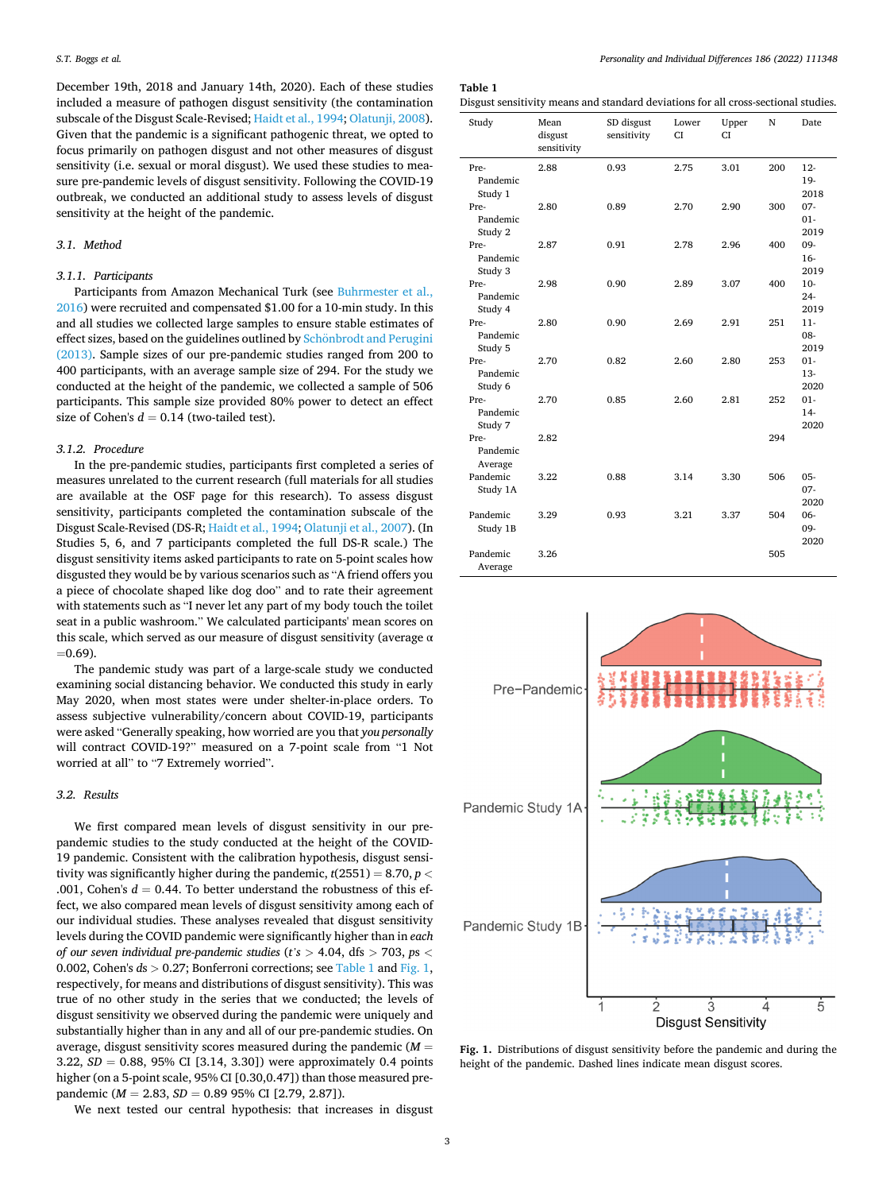December 19th, 2018 and January 14th, 2020). Each of these studies included a measure of pathogen disgust sensitivity (the contamination subscale of the Disgust Scale-Revised; [Haidt et al., 1994](#page-7-0); [Olatunji, 2008](#page-7-0)). Given that the pandemic is a significant pathogenic threat, we opted to focus primarily on pathogen disgust and not other measures of disgust sensitivity (i.e. sexual or moral disgust). We used these studies to measure pre-pandemic levels of disgust sensitivity. Following the COVID-19 outbreak, we conducted an additional study to assess levels of disgust sensitivity at the height of the pandemic.

## *3.1. Method*

## *3.1.1. Participants*

Participants from Amazon Mechanical Turk (see [Buhrmester et al.,](#page-7-0)  [2016\)](#page-7-0) were recruited and compensated \$1.00 for a 10-min study. In this and all studies we collected large samples to ensure stable estimates of effect sizes, based on the guidelines outlined by Schönbrodt and Perugini [\(2013\).](#page-7-0) Sample sizes of our pre-pandemic studies ranged from 200 to 400 participants, with an average sample size of 294. For the study we conducted at the height of the pandemic, we collected a sample of 506 participants. This sample size provided 80% power to detect an effect size of Cohen's  $d = 0.14$  (two-tailed test).

## *3.1.2. Procedure*

In the pre-pandemic studies, participants first completed a series of measures unrelated to the current research (full materials for all studies are available at the OSF page for this research). To assess disgust sensitivity, participants completed the contamination subscale of the Disgust Scale-Revised (DS-R; [Haidt et al., 1994; Olatunji et al., 2007\)](#page-7-0). (In Studies 5, 6, and 7 participants completed the full DS-R scale.) The disgust sensitivity items asked participants to rate on 5-point scales how disgusted they would be by various scenarios such as "A friend offers you a piece of chocolate shaped like dog doo" and to rate their agreement with statements such as "I never let any part of my body touch the toilet seat in a public washroom." We calculated participants' mean scores on this scale, which served as our measure of disgust sensitivity (average  $\alpha$  $=0.69$ ).

The pandemic study was part of a large-scale study we conducted examining social distancing behavior. We conducted this study in early May 2020, when most states were under shelter-in-place orders. To assess subjective vulnerability/concern about COVID-19, participants were asked "Generally speaking, how worried are you that *you personally*  will contract COVID-19?" measured on a 7-point scale from "1 Not worried at all" to "7 Extremely worried".

## *3.2. Results*

We first compared mean levels of disgust sensitivity in our prepandemic studies to the study conducted at the height of the COVID-19 pandemic. Consistent with the calibration hypothesis, disgust sensitivity was significantly higher during the pandemic,  $t(2551) = 8.70$ ,  $p <$ .001, Cohen's  $d = 0.44$ . To better understand the robustness of this effect, we also compared mean levels of disgust sensitivity among each of our individual studies. These analyses revealed that disgust sensitivity levels during the COVID pandemic were significantly higher than in *each of our seven individual pre-pandemic studies* (*t's >* 4.04, dfs *>* 703, *p*s *<* 0.002, Cohen's *d*s *>* 0.27; Bonferroni corrections; see Table 1 and Fig. 1, respectively, for means and distributions of disgust sensitivity). This was true of no other study in the series that we conducted; the levels of disgust sensitivity we observed during the pandemic were uniquely and substantially higher than in any and all of our pre-pandemic studies. On average, disgust sensitivity scores measured during the pandemic (*M* = 3.22,  $SD = 0.88$ , 95% CI [3.14, 3.30]) were approximately 0.4 points higher (on a 5-point scale, 95% CI [0.30,0.47]) than those measured prepandemic (*M* = 2.83, *SD* = 0.89 95% CI [2.79, 2.87]).

We next tested our central hypothesis: that increases in disgust

**Table 1** 

Disgust sensitivity means and standard deviations for all cross-sectional studies.

| Study                       | Mean<br>disgust<br>sensitivity | SD disgust<br>sensitivity | Lower<br><b>CI</b> | Upper<br>CI | N   | Date                     |
|-----------------------------|--------------------------------|---------------------------|--------------------|-------------|-----|--------------------------|
| Pre-<br>Pandemic<br>Study 1 | 2.88                           | 0.93                      | 2.75               | 3.01        | 200 | $12 -$<br>19-<br>2018    |
| Pre-<br>Pandemic<br>Study 2 | 2.80                           | 0.89                      | 2.70               | 2.90        | 300 | $07 -$<br>$01 -$<br>2019 |
| Pre-<br>Pandemic<br>Study 3 | 2.87                           | 0.91                      | 2.78               | 2.96        | 400 | 09-<br>$16-$<br>2019     |
| Pre-<br>Pandemic<br>Study 4 | 2.98                           | 0.90                      | 2.89               | 3.07        | 400 | $10-$<br>$24 -$<br>2019  |
| Pre-<br>Pandemic<br>Study 5 | 2.80                           | 0.90                      | 2.69               | 2.91        | 251 | $11-$<br>$08 -$<br>2019  |
| Pre-<br>Pandemic<br>Study 6 | 2.70                           | 0.82                      | 2.60               | 2.80        | 253 | $01 -$<br>$13-$<br>2020  |
| Pre-<br>Pandemic<br>Study 7 | 2.70                           | 0.85                      | 2.60               | 2.81        | 252 | $01 -$<br>$14-$<br>2020  |
| Pre-<br>Pandemic<br>Average | 2.82                           |                           |                    |             | 294 |                          |
| Pandemic<br>Study 1A        | 3.22                           | 0.88                      | 3.14               | 3.30        | 506 | $05 -$<br>$07 -$<br>2020 |
| Pandemic<br>Study 1B        | 3.29                           | 0.93                      | 3.21               | 3.37        | 504 | 06-<br>09-<br>2020       |
| Pandemic<br>Average         | 3.26                           |                           |                    |             | 505 |                          |



**Fig. 1.** Distributions of disgust sensitivity before the pandemic and during the height of the pandemic. Dashed lines indicate mean disgust scores.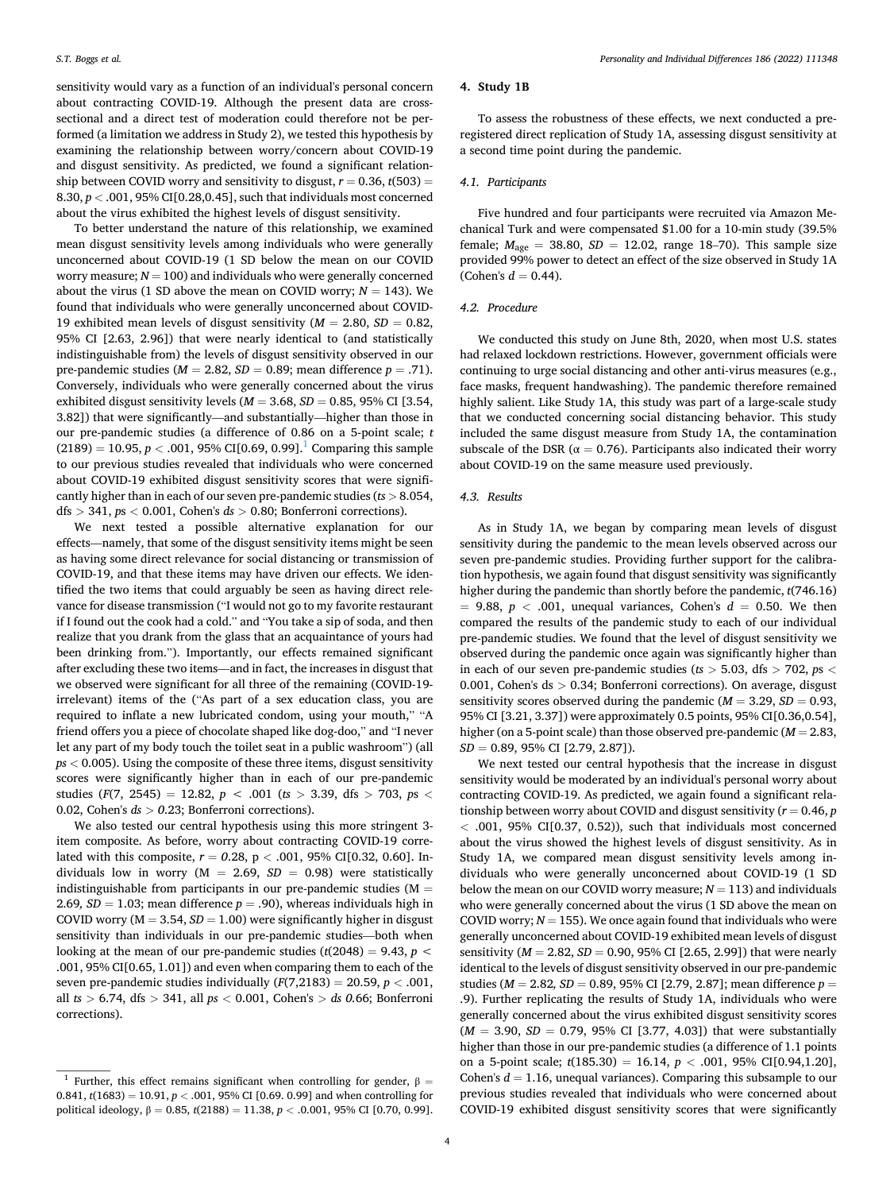sensitivity would vary as a function of an individual's personal concern about contracting COVID-19. Although the present data are crosssectional and a direct test of moderation could therefore not be performed (a limitation we address in Study 2), we tested this hypothesis by examining the relationship between worry/concern about COVID-19 and disgust sensitivity. As predicted, we found a significant relationship between COVID worry and sensitivity to disgust,  $r = 0.36$ ,  $t(503) =$ 8.30, *p <* .001, 95% CI[0.28,0.45], such that individuals most concerned about the virus exhibited the highest levels of disgust sensitivity.

To better understand the nature of this relationship, we examined mean disgust sensitivity levels among individuals who were generally unconcerned about COVID-19 (1 SD below the mean on our COVID worry measure;  $N = 100$ ) and individuals who were generally concerned about the virus (1 SD above the mean on COVID worry;  $N = 143$ ). We found that individuals who were generally unconcerned about COVID-19 exhibited mean levels of disgust sensitivity ( $M = 2.80$ ,  $SD = 0.82$ , 95% CI [2.63, 2.96]) that were nearly identical to (and statistically indistinguishable from) the levels of disgust sensitivity observed in our pre-pandemic studies ( $M = 2.82$ ,  $SD = 0.89$ ; mean difference  $p = .71$ ). Conversely, individuals who were generally concerned about the virus exhibited disgust sensitivity levels  $(M = 3.68, SD = 0.85, 95\% \text{ CI}$  [3.54, 3.82]) that were significantly—and substantially—higher than those in our pre-pandemic studies (a difference of 0.86 on a 5-point scale; *t*   $(2189) = 10.95, p < .001, 95\%$  CI[0.69, 0.99].<sup>1</sup> Comparing this sample to our previous studies revealed that individuals who were concerned about COVID-19 exhibited disgust sensitivity scores that were significantly higher than in each of our seven pre-pandemic studies (*ts >* 8.054, dfs *>* 341, *p*s *<* 0.001, Cohen's *ds >* 0.80; Bonferroni corrections).

We next tested a possible alternative explanation for our effects—namely, that some of the disgust sensitivity items might be seen as having some direct relevance for social distancing or transmission of COVID-19, and that these items may have driven our effects. We identified the two items that could arguably be seen as having direct relevance for disease transmission ("I would not go to my favorite restaurant if I found out the cook had a cold." and "You take a sip of soda, and then realize that you drank from the glass that an acquaintance of yours had been drinking from."). Importantly, our effects remained significant after excluding these two items—and in fact, the increases in disgust that we observed were significant for all three of the remaining (COVID-19 irrelevant) items of the ("As part of a sex education class, you are required to inflate a new lubricated condom, using your mouth," "A friend offers you a piece of chocolate shaped like dog-doo," and "I never let any part of my body touch the toilet seat in a public washroom") (all *ps <* 0.005). Using the composite of these three items, disgust sensitivity scores were significantly higher than in each of our pre-pandemic studies ( $F(7, 2545) = 12.82$ ,  $p < .001$  ( $ts > 3.39$ , dfs  $> 703$ ,  $ps <$ 0.02, Cohen's *ds > 0*.23; Bonferroni corrections).

We also tested our central hypothesis using this more stringent 3 item composite. As before, worry about contracting COVID-19 correlated with this composite, *r* = *0*.28, p *<* .001, 95% CI[0.32, 0.60]. Individuals low in worry  $(M = 2.69, SD = 0.98)$  were statistically indistinguishable from participants in our pre-pandemic studies ( $M =$ 2.69,  $SD = 1.03$ ; mean difference  $p = .90$ ), whereas individuals high in COVID worry ( $M = 3.54$ ,  $SD = 1.00$ ) were significantly higher in disgust sensitivity than individuals in our pre-pandemic studies—both when looking at the mean of our pre-pandemic studies  $(t(2048) = 9.43, p <$ .001, 95% CI[0.65, 1.01]) and even when comparing them to each of the seven pre-pandemic studies individually  $(F(7,2183) = 20.59, p < .001,$ all *ts >* 6.74, dfs *>* 341, all *ps <* 0.001, Cohen's *> ds 0.*66; Bonferroni corrections).

## **4. Study 1B**

To assess the robustness of these effects, we next conducted a preregistered direct replication of Study 1A, assessing disgust sensitivity at a second time point during the pandemic.

#### *4.1. Participants*

Five hundred and four participants were recruited via Amazon Mechanical Turk and were compensated \$1.00 for a 10-min study (39.5% female;  $M_{\text{age}} = 38.80, SD = 12.02$ , range 18-70). This sample size provided 99% power to detect an effect of the size observed in Study 1A  $(Cohen's d = 0.44)$ .

## *4.2. Procedure*

We conducted this study on June 8th, 2020, when most U.S. states had relaxed lockdown restrictions. However, government officials were continuing to urge social distancing and other anti-virus measures (e.g., face masks, frequent handwashing). The pandemic therefore remained highly salient. Like Study 1A, this study was part of a large-scale study that we conducted concerning social distancing behavior. This study included the same disgust measure from Study 1A, the contamination subscale of the DSR ( $\alpha = 0.76$ ). Participants also indicated their worry about COVID-19 on the same measure used previously.

#### *4.3. Results*

As in Study 1A, we began by comparing mean levels of disgust sensitivity during the pandemic to the mean levels observed across our seven pre-pandemic studies. Providing further support for the calibration hypothesis, we again found that disgust sensitivity was significantly higher during the pandemic than shortly before the pandemic, *t*(746.16)  $= 9.88, p < .001$ , unequal variances, Cohen's  $d = 0.50$ . We then compared the results of the pandemic study to each of our individual pre-pandemic studies. We found that the level of disgust sensitivity we observed during the pandemic once again was significantly higher than in each of our seven pre-pandemic studies (*ts >* 5.03, dfs *>* 702, *p*s *<* 0.001, Cohen's ds *>* 0.34; Bonferroni corrections). On average, disgust sensitivity scores observed during the pandemic  $(M = 3.29, SD = 0.93,$ 95% CI [3.21, 3.37]) were approximately 0.5 points, 95% CI[0.36,0.54], higher (on a 5-point scale) than those observed pre-pandemic (*M* = 2.83, *SD* = 0.89, 95% CI [2.79, 2.87]).

We next tested our central hypothesis that the increase in disgust sensitivity would be moderated by an individual's personal worry about contracting COVID-19. As predicted, we again found a significant relationship between worry about COVID and disgust sensitivity (*r* = 0.46, *p <* .001, 95% CI[0.37, 0.52)), such that individuals most concerned about the virus showed the highest levels of disgust sensitivity. As in Study 1A, we compared mean disgust sensitivity levels among individuals who were generally unconcerned about COVID-19 (1 SD below the mean on our COVID worry measure;  $N = 113$ ) and individuals who were generally concerned about the virus (1 SD above the mean on COVID worry;  $N = 155$ ). We once again found that individuals who were generally unconcerned about COVID-19 exhibited mean levels of disgust sensitivity (*M* = 2.82, *SD* = 0.90, 95% CI [2.65, 2.99]) that were nearly identical to the levels of disgust sensitivity observed in our pre-pandemic studies (*M* = 2.82*, SD* = 0.89, 95% CI [2.79, 2.87]; mean difference *p* = .9). Further replicating the results of Study 1A, individuals who were generally concerned about the virus exhibited disgust sensitivity scores (*M* = 3.90, *SD* = 0.79, 95% CI [3.77, 4.03]) that were substantially higher than those in our pre-pandemic studies (a difference of 1.1 points on a 5-point scale; *t*(185.30) = 16.14, *p <* .001, 95% CI[0.94,1.20], Cohen's  $d = 1.16$ , unequal variances). Comparing this subsample to our previous studies revealed that individuals who were concerned about COVID-19 exhibited disgust sensitivity scores that were significantly

<sup>&</sup>lt;sup>1</sup> Further, this effect remains significant when controlling for gender,  $\beta =$ 0.841,  $t(1683) = 10.91$ ,  $p < .001$ , 95% CI [0.69. 0.99] and when controlling for political ideology, β = 0.85, *t*(2188) = 11.38, *p <* .0.001, 95% CI [0.70, 0.99].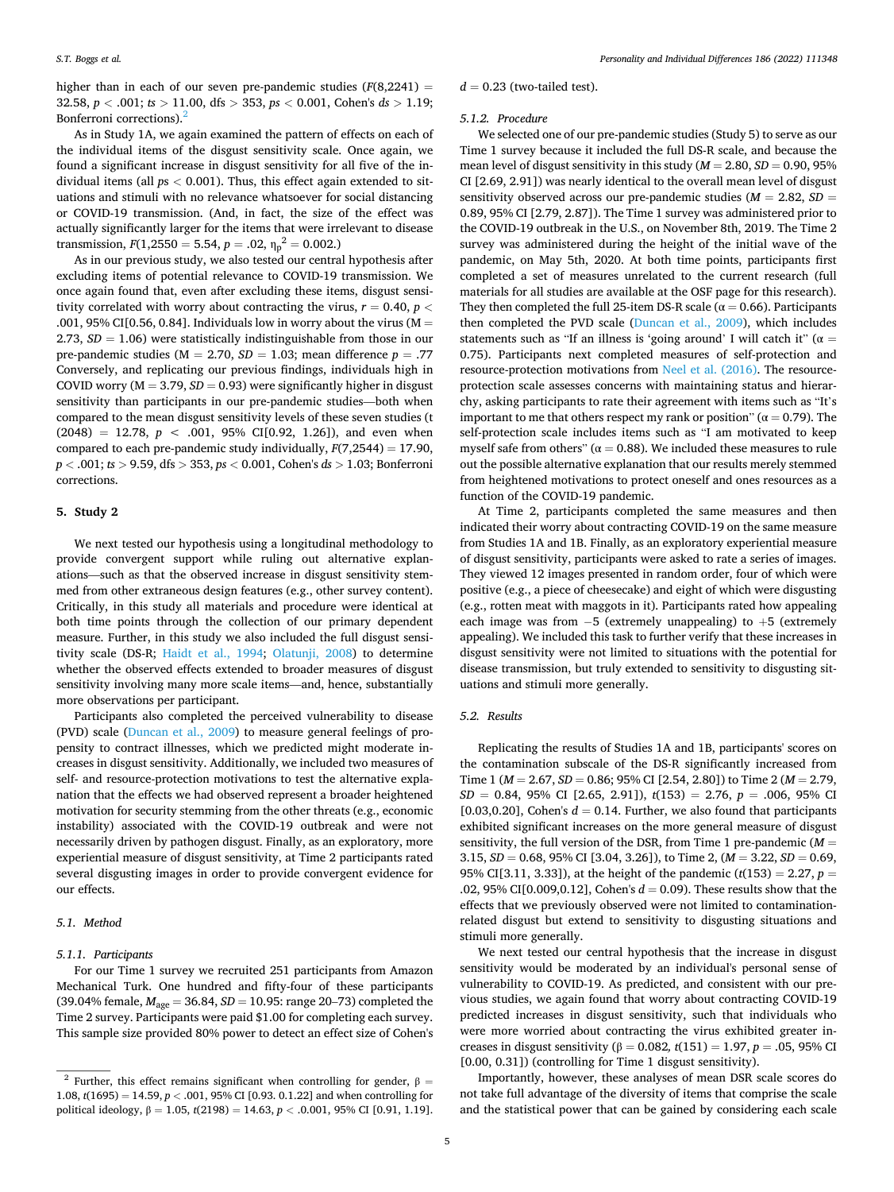higher than in each of our seven pre-pandemic studies  $(F(8,2241) =$ 32.58, *p <* .001; *ts >* 11.00, dfs *>* 353, *ps <* 0.001, Cohen's *ds >* 1.19; Bonferroni corrections).<sup>2</sup>

As in Study 1A, we again examined the pattern of effects on each of the individual items of the disgust sensitivity scale. Once again, we found a significant increase in disgust sensitivity for all five of the individual items (all *p*s *<* 0.001). Thus, this effect again extended to situations and stimuli with no relevance whatsoever for social distancing or COVID-19 transmission. (And, in fact, the size of the effect was actually significantly larger for the items that were irrelevant to disease transmission,  $F(1,2550 = 5.54, p = .02, \eta_p^2 = 0.002.)$ 

As in our previous study, we also tested our central hypothesis after excluding items of potential relevance to COVID-19 transmission. We once again found that, even after excluding these items, disgust sensitivity correlated with worry about contracting the virus,  $r = 0.40$ ,  $p <$ .001, 95% CI[0.56, 0.84]. Individuals low in worry about the virus ( $M =$ 2.73, *SD* = 1.06) were statistically indistinguishable from those in our pre-pandemic studies ( $M = 2.70$ ,  $SD = 1.03$ ; mean difference  $p = .77$ Conversely, and replicating our previous findings, individuals high in COVID worry ( $M = 3.79$ ,  $SD = 0.93$ ) were significantly higher in disgust sensitivity than participants in our pre-pandemic studies—both when compared to the mean disgust sensitivity levels of these seven studies (t  $(2048) = 12.78, p < .001, 95\%$  CI[0.92, 1.26]), and even when compared to each pre-pandemic study individually,  $F(7,2544) = 17.90$ , *p <* .001; *ts >* 9.59, dfs *>* 353, *ps <* 0.001, Cohen's *ds >* 1.03; Bonferroni corrections.

#### **5. Study 2**

We next tested our hypothesis using a longitudinal methodology to provide convergent support while ruling out alternative explanations—such as that the observed increase in disgust sensitivity stemmed from other extraneous design features (e.g., other survey content). Critically, in this study all materials and procedure were identical at both time points through the collection of our primary dependent measure. Further, in this study we also included the full disgust sensitivity scale (DS-R; [Haidt et al., 1994;](#page-7-0) [Olatunji, 2008\)](#page-7-0) to determine whether the observed effects extended to broader measures of disgust sensitivity involving many more scale items—and, hence, substantially more observations per participant.

Participants also completed the perceived vulnerability to disease (PVD) scale [\(Duncan et al., 2009\)](#page-7-0) to measure general feelings of propensity to contract illnesses, which we predicted might moderate increases in disgust sensitivity. Additionally, we included two measures of self- and resource-protection motivations to test the alternative explanation that the effects we had observed represent a broader heightened motivation for security stemming from the other threats (e.g., economic instability) associated with the COVID-19 outbreak and were not necessarily driven by pathogen disgust. Finally, as an exploratory, more experiential measure of disgust sensitivity, at Time 2 participants rated several disgusting images in order to provide convergent evidence for our effects.

#### *5.1. Method*

#### *5.1.1. Participants*

For our Time 1 survey we recruited 251 participants from Amazon Mechanical Turk. One hundred and fifty-four of these participants (39.04% female, *M*age = 36.84, *SD* = 10.95: range 20–73) completed the Time 2 survey. Participants were paid \$1.00 for completing each survey. This sample size provided 80% power to detect an effect size of Cohen's

## $d = 0.23$  (two-tailed test).

## *5.1.2. Procedure*

We selected one of our pre-pandemic studies (Study 5) to serve as our Time 1 survey because it included the full DS-R scale, and because the mean level of disgust sensitivity in this study  $(M = 2.80, SD = 0.90, 95\%)$ CI [2.69, 2.91]) was nearly identical to the overall mean level of disgust sensitivity observed across our pre-pandemic studies  $(M = 2.82, SD =$ 0.89, 95% CI [2.79, 2.87]). The Time 1 survey was administered prior to the COVID-19 outbreak in the U.S., on November 8th, 2019. The Time 2 survey was administered during the height of the initial wave of the pandemic, on May 5th, 2020. At both time points, participants first completed a set of measures unrelated to the current research (full materials for all studies are available at the OSF page for this research). They then completed the full 25-item DS-R scale ( $\alpha$  = 0.66). Participants then completed the PVD scale ([Duncan et al., 2009](#page-7-0)), which includes statements such as "If an illness is 'going around' I will catch it" ( $\alpha$  = 0.75). Participants next completed measures of self-protection and resource-protection motivations from [Neel et al. \(2016\).](#page-7-0) The resourceprotection scale assesses concerns with maintaining status and hierarchy, asking participants to rate their agreement with items such as "It's important to me that others respect my rank or position" ( $\alpha = 0.79$ ). The self-protection scale includes items such as "I am motivated to keep myself safe from others" ( $\alpha = 0.88$ ). We included these measures to rule out the possible alternative explanation that our results merely stemmed from heightened motivations to protect oneself and ones resources as a function of the COVID-19 pandemic.

At Time 2, participants completed the same measures and then indicated their worry about contracting COVID-19 on the same measure from Studies 1A and 1B. Finally, as an exploratory experiential measure of disgust sensitivity, participants were asked to rate a series of images. They viewed 12 images presented in random order, four of which were positive (e.g., a piece of cheesecake) and eight of which were disgusting (e.g., rotten meat with maggots in it). Participants rated how appealing each image was from  $-5$  (extremely unappealing) to  $+5$  (extremely appealing). We included this task to further verify that these increases in disgust sensitivity were not limited to situations with the potential for disease transmission, but truly extended to sensitivity to disgusting situations and stimuli more generally.

#### *5.2. Results*

Replicating the results of Studies 1A and 1B, participants' scores on the contamination subscale of the DS-R significantly increased from Time 1 (*M* = 2.67, *SD* = 0.86; 95% CI [2.54, 2.80]) to Time 2 (*M* = 2.79, *SD* = 0.84, 95% CI [2.65, 2.91]), *t*(153) = 2.76, *p* = .006, 95% CI [0.03,0.20], Cohen's  $d = 0.14$ . Further, we also found that participants exhibited significant increases on the more general measure of disgust sensitivity, the full version of the DSR, from Time 1 pre-pandemic  $(M =$ 3.15,  $SD = 0.68$ , 95% CI [3.04, 3.26]), to Time 2, ( $M = 3.22$ ,  $SD = 0.69$ , 95% CI[3.11, 3.33]), at the height of the pandemic (*t*(153) = 2.27, *p* = .02, 95% CI[0.009,0.12], Cohen's *d* = 0.09). These results show that the effects that we previously observed were not limited to contaminationrelated disgust but extend to sensitivity to disgusting situations and stimuli more generally.

We next tested our central hypothesis that the increase in disgust sensitivity would be moderated by an individual's personal sense of vulnerability to COVID-19. As predicted, and consistent with our previous studies, we again found that worry about contracting COVID-19 predicted increases in disgust sensitivity, such that individuals who were more worried about contracting the virus exhibited greater increases in disgust sensitivity ( $β = 0.082$ ,  $t(151) = 1.97$ ,  $p = .05$ , 95% CI [0.00, 0.31]) (controlling for Time 1 disgust sensitivity).

Importantly, however, these analyses of mean DSR scale scores do not take full advantage of the diversity of items that comprise the scale and the statistical power that can be gained by considering each scale

<sup>&</sup>lt;sup>2</sup> Further, this effect remains significant when controlling for gender,  $β =$ 1.08, *t*(1695) = 14.59, *p <* .001, 95% CI [0.93. 0.1.22] and when controlling for political ideology, β = 1.05, *t*(2198) = 14.63, *p <* .0.001, 95% CI [0.91, 1.19].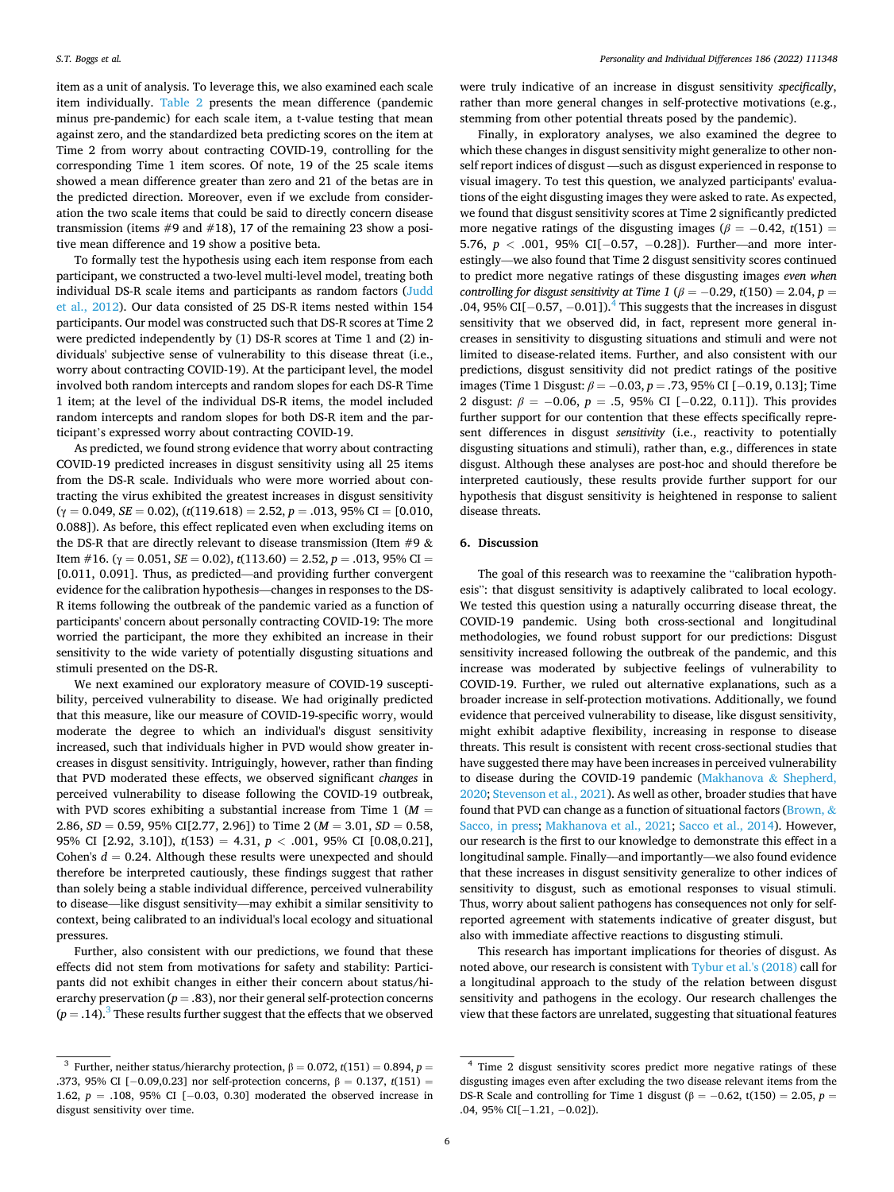item as a unit of analysis. To leverage this, we also examined each scale item individually. [Table 2](#page-6-0) presents the mean difference (pandemic minus pre-pandemic) for each scale item, a t-value testing that mean against zero, and the standardized beta predicting scores on the item at Time 2 from worry about contracting COVID-19, controlling for the corresponding Time 1 item scores. Of note, 19 of the 25 scale items showed a mean difference greater than zero and 21 of the betas are in the predicted direction. Moreover, even if we exclude from consideration the two scale items that could be said to directly concern disease transmission (items #9 and #18), 17 of the remaining 23 show a positive mean difference and 19 show a positive beta.

To formally test the hypothesis using each item response from each participant, we constructed a two-level multi-level model, treating both individual DS-R scale items and participants as random factors [\(Judd](#page-7-0)  [et al., 2012](#page-7-0)). Our data consisted of 25 DS-R items nested within 154 participants. Our model was constructed such that DS-R scores at Time 2 were predicted independently by (1) DS-R scores at Time 1 and (2) individuals' subjective sense of vulnerability to this disease threat (i.e., worry about contracting COVID-19). At the participant level, the model involved both random intercepts and random slopes for each DS-R Time 1 item; at the level of the individual DS-R items, the model included random intercepts and random slopes for both DS-R item and the participant's expressed worry about contracting COVID-19.

As predicted, we found strong evidence that worry about contracting COVID-19 predicted increases in disgust sensitivity using all 25 items from the DS-R scale. Individuals who were more worried about contracting the virus exhibited the greatest increases in disgust sensitivity  $(\gamma = 0.049, SE = 0.02), (t(119.618) = 2.52, p = .013, 95\% \text{ CI} = [0.010,$ 0.088]). As before, this effect replicated even when excluding items on the DS-R that are directly relevant to disease transmission (Item  $#9 &$ Item #16. (γ = 0.051, *SE* = 0.02),  $t(113.60) = 2.52$ ,  $p = .013$ , 95% CI = [0.011, 0.091]. Thus, as predicted—and providing further convergent evidence for the calibration hypothesis—changes in responses to the DS-R items following the outbreak of the pandemic varied as a function of participants' concern about personally contracting COVID-19: The more worried the participant, the more they exhibited an increase in their sensitivity to the wide variety of potentially disgusting situations and stimuli presented on the DS-R.

We next examined our exploratory measure of COVID-19 susceptibility, perceived vulnerability to disease. We had originally predicted that this measure, like our measure of COVID-19-specific worry, would moderate the degree to which an individual's disgust sensitivity increased, such that individuals higher in PVD would show greater increases in disgust sensitivity. Intriguingly, however, rather than finding that PVD moderated these effects, we observed significant *changes* in perceived vulnerability to disease following the COVID-19 outbreak, with PVD scores exhibiting a substantial increase from Time  $1 \, (M =$ 2.86,  $SD = 0.59$ , 95% CI[2.77, 2.96]) to Time 2 ( $M = 3.01$ ,  $SD = 0.58$ , 95% CI [2.92, 3.10]), *t*(153) = 4.31, *p <* .001, 95% CI [0.08,0.21], Cohen's  $d = 0.24$ . Although these results were unexpected and should therefore be interpreted cautiously, these findings suggest that rather than solely being a stable individual difference, perceived vulnerability to disease—like disgust sensitivity—may exhibit a similar sensitivity to context, being calibrated to an individual's local ecology and situational pressures.

Further, also consistent with our predictions, we found that these effects did not stem from motivations for safety and stability: Participants did not exhibit changes in either their concern about status/hierarchy preservation ( $p = .83$ ), nor their general self-protection concerns  $(p = .14).$ <sup>3</sup> These results further suggest that the effects that we observed were truly indicative of an increase in disgust sensitivity *specifically*, rather than more general changes in self-protective motivations (e.g., stemming from other potential threats posed by the pandemic).

Finally, in exploratory analyses, we also examined the degree to which these changes in disgust sensitivity might generalize to other nonself report indices of disgust —such as disgust experienced in response to visual imagery. To test this question, we analyzed participants' evaluations of the eight disgusting images they were asked to rate. As expected, we found that disgust sensitivity scores at Time 2 significantly predicted more negative ratings of the disgusting images ( $\beta$  = -0.42, *t*(151) = 5.76, *p* < .001, 95% CI[−0.57, −0.28]). Further—and more interestingly—we also found that Time 2 disgust sensitivity scores continued to predict more negative ratings of these disgusting images *even when controlling for disgust sensitivity at Time 1 (* $\beta$  *= -0.29, t(150) = 2.04, p =* .04, 95% CI[ $-0.57, -0.01$ ]).<sup>4</sup> This suggests that the increases in disgust sensitivity that we observed did, in fact, represent more general increases in sensitivity to disgusting situations and stimuli and were not limited to disease-related items. Further, and also consistent with our predictions, disgust sensitivity did not predict ratings of the positive images (Time 1 Disgust: *β* = − 0.03, *p* = .73, 95% CI [− 0.19, 0.13]; Time 2 disgust: *β* = −0.06, *p* = .5, 95% CI [−0.22, 0.11]). This provides further support for our contention that these effects specifically represent differences in disgust *sensitivity* (i.e., reactivity to potentially disgusting situations and stimuli), rather than, e.g., differences in state disgust. Although these analyses are post-hoc and should therefore be interpreted cautiously, these results provide further support for our hypothesis that disgust sensitivity is heightened in response to salient disease threats.

#### **6. Discussion**

The goal of this research was to reexamine the "calibration hypothesis": that disgust sensitivity is adaptively calibrated to local ecology. We tested this question using a naturally occurring disease threat, the COVID-19 pandemic. Using both cross-sectional and longitudinal methodologies, we found robust support for our predictions: Disgust sensitivity increased following the outbreak of the pandemic, and this increase was moderated by subjective feelings of vulnerability to COVID-19. Further, we ruled out alternative explanations, such as a broader increase in self-protection motivations. Additionally, we found evidence that perceived vulnerability to disease, like disgust sensitivity, might exhibit adaptive flexibility, increasing in response to disease threats. This result is consistent with recent cross-sectional studies that have suggested there may have been increases in perceived vulnerability to disease during the COVID-19 pandemic ([Makhanova](#page-7-0) & Shepherd, [2020; Stevenson et al., 2021\)](#page-7-0). As well as other, broader studies that have found that PVD can change as a function of situational factors [\(Brown,](#page-7-0) & [Sacco, in press;](#page-7-0) [Makhanova et al., 2021;](#page-7-0) [Sacco et al., 2014\)](#page-7-0). However, our research is the first to our knowledge to demonstrate this effect in a longitudinal sample. Finally—and importantly—we also found evidence that these increases in disgust sensitivity generalize to other indices of sensitivity to disgust, such as emotional responses to visual stimuli. Thus, worry about salient pathogens has consequences not only for selfreported agreement with statements indicative of greater disgust, but also with immediate affective reactions to disgusting stimuli.

This research has important implications for theories of disgust. As noted above, our research is consistent with [Tybur et al.'s \(2018\)](#page-7-0) call for a longitudinal approach to the study of the relation between disgust sensitivity and pathogens in the ecology. Our research challenges the view that these factors are unrelated, suggesting that situational features

<sup>&</sup>lt;sup>3</sup> Further, neither status/hierarchy protection,  $β = 0.072$ ,  $t(151) = 0.894$ ,  $p =$ .373, 95% CI [− 0.09,0.23] nor self-protection concerns, β = 0.137, *t*(151) = 1.62, *p* = .108, 95% CI [−0.03, 0.30] moderated the observed increase in disgust sensitivity over time.

<sup>4</sup> Time 2 disgust sensitivity scores predict more negative ratings of these disgusting images even after excluding the two disease relevant items from the DS-R Scale and controlling for Time 1 disgust ( $\beta$  = -0.62, t(150) = 2.05, *p* = .04, 95% CI[-1.21, -0.02]).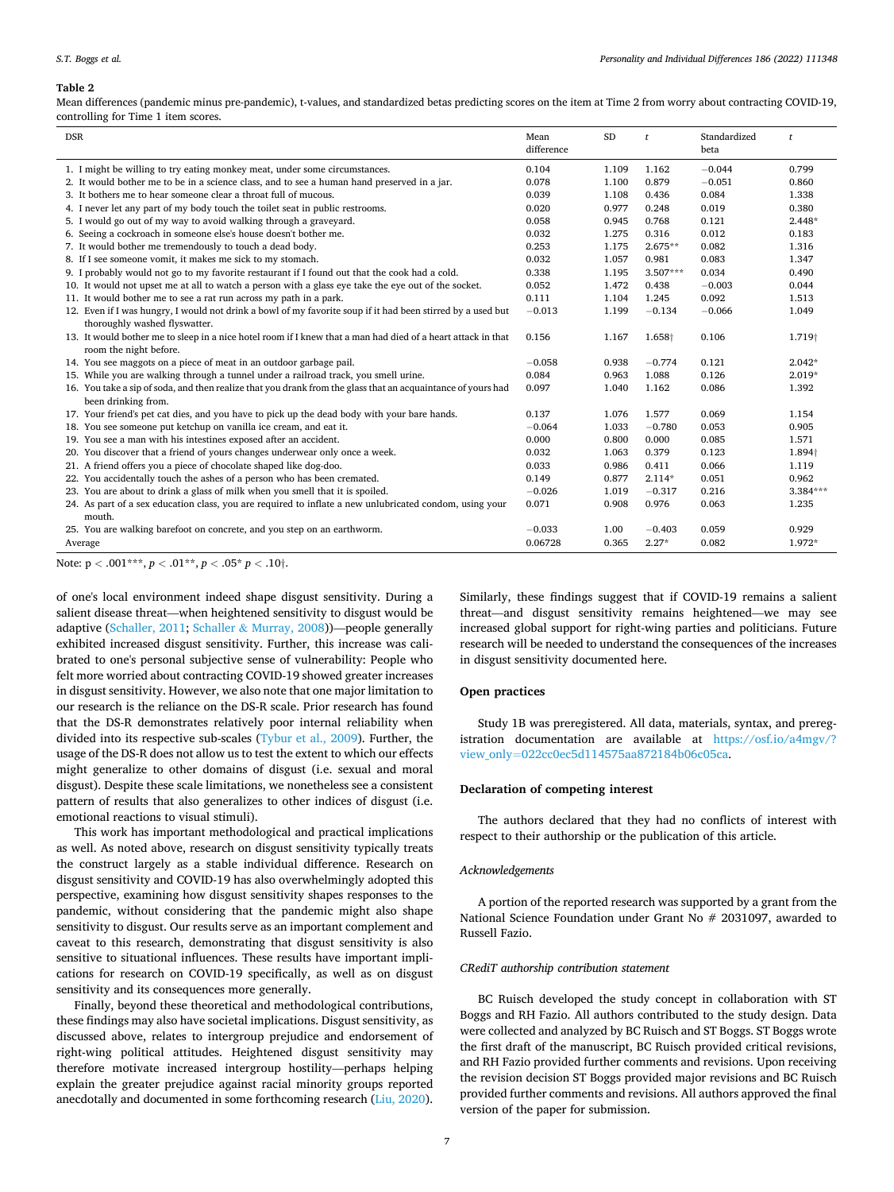#### <span id="page-6-0"></span>**Table 2**

Mean differences (pandemic minus pre-pandemic), t-values, and standardized betas predicting scores on the item at Time 2 from worry about contracting COVID-19, controlling for Time 1 item scores.

| <b>DSR</b>                                                                                                                                   | Mean       | <b>SD</b> | $\mathbf{t}$       | Standardized | $\mathbf{t}$       |
|----------------------------------------------------------------------------------------------------------------------------------------------|------------|-----------|--------------------|--------------|--------------------|
|                                                                                                                                              | difference |           |                    | beta         |                    |
| 1. I might be willing to try eating monkey meat, under some circumstances.                                                                   | 0.104      | 1.109     | 1.162              | $-0.044$     | 0.799              |
| 2. It would bother me to be in a science class, and to see a human hand preserved in a jar.                                                  | 0.078      | 1.100     | 0.879              | $-0.051$     | 0.860              |
| 3. It bothers me to hear someone clear a throat full of mucous.                                                                              | 0.039      | 1.108     | 0.436              | 0.084        | 1.338              |
| 4. I never let any part of my body touch the toilet seat in public restrooms.                                                                | 0.020      | 0.977     | 0.248              | 0.019        | 0.380              |
| 5. I would go out of my way to avoid walking through a graveyard.                                                                            | 0.058      | 0.945     | 0.768              | 0.121        | $2.448*$           |
| 6. Seeing a cockroach in someone else's house doesn't bother me.                                                                             | 0.032      | 1.275     | 0.316              | 0.012        | 0.183              |
| 7. It would bother me tremendously to touch a dead body.                                                                                     | 0.253      | 1.175     | $2.675**$          | 0.082        | 1.316              |
| 8. If I see someone vomit, it makes me sick to my stomach.                                                                                   | 0.032      | 1.057     | 0.981              | 0.083        | 1.347              |
| 9. I probably would not go to my favorite restaurant if I found out that the cook had a cold.                                                | 0.338      | 1.195     | $3.507***$         | 0.034        | 0.490              |
| 10. It would not upset me at all to watch a person with a glass eye take the eye out of the socket.                                          | 0.052      | 1.472     | 0.438              | $-0.003$     | 0.044              |
| 11. It would bother me to see a rat run across my path in a park.                                                                            | 0.111      | 1.104     | 1.245              | 0.092        | 1.513              |
| 12. Even if I was hungry, I would not drink a bowl of my favorite soup if it had been stirred by a used but<br>thoroughly washed flyswatter. | $-0.013$   | 1.199     | $-0.134$           | $-0.066$     | 1.049              |
| 13. It would bother me to sleep in a nice hotel room if I knew that a man had died of a heart attack in that<br>room the night before.       | 0.156      | 1.167     | 1.658 <sup>+</sup> | 0.106        | 1.719 <sup>+</sup> |
| 14. You see maggots on a piece of meat in an outdoor garbage pail.                                                                           | $-0.058$   | 0.938     | $-0.774$           | 0.121        | $2.042*$           |
| 15. While you are walking through a tunnel under a railroad track, you smell urine.                                                          | 0.084      | 0.963     | 1.088              | 0.126        | $2.019*$           |
| 16. You take a sip of soda, and then realize that you drank from the glass that an acquaintance of yours had<br>been drinking from.          | 0.097      | 1.040     | 1.162              | 0.086        | 1.392              |
| 17. Your friend's pet cat dies, and you have to pick up the dead body with your bare hands.                                                  | 0.137      | 1.076     | 1.577              | 0.069        | 1.154              |
| 18. You see someone put ketchup on vanilla ice cream, and eat it.                                                                            | $-0.064$   | 1.033     | $-0.780$           | 0.053        | 0.905              |
| 19. You see a man with his intestines exposed after an accident.                                                                             | 0.000      | 0.800     | 0.000              | 0.085        | 1.571              |
| 20. You discover that a friend of yours changes underwear only once a week.                                                                  | 0.032      | 1.063     | 0.379              | 0.123        | 1.894              |
| 21. A friend offers you a piece of chocolate shaped like dog-doo.                                                                            | 0.033      | 0.986     | 0.411              | 0.066        | 1.119              |
| 22. You accidentally touch the ashes of a person who has been cremated.                                                                      | 0.149      | 0.877     | $2.114*$           | 0.051        | 0.962              |
| 23. You are about to drink a glass of milk when you smell that it is spoiled.                                                                | $-0.026$   | 1.019     | $-0.317$           | 0.216        | $3.384***$         |
| 24. As part of a sex education class, you are required to inflate a new unlubricated condom, using your                                      | 0.071      | 0.908     | 0.976              | 0.063        | 1.235              |
| mouth.                                                                                                                                       |            |           |                    |              |                    |
| 25. You are walking barefoot on concrete, and you step on an earthworm.                                                                      | $-0.033$   | 1.00      | $-0.403$           | 0.059        | 0.929              |
| Average                                                                                                                                      | 0.06728    | 0.365     | $2.27*$            | 0.082        | 1.972*             |

Note:  $p < .001***$ ,  $p < .01**$ ,  $p < .05*$   $p < .10$ .

of one's local environment indeed shape disgust sensitivity. During a salient disease threat—when heightened sensitivity to disgust would be adaptive [\(Schaller, 2011](#page-7-0); Schaller & [Murray, 2008](#page-7-0)))—people generally exhibited increased disgust sensitivity. Further, this increase was calibrated to one's personal subjective sense of vulnerability: People who felt more worried about contracting COVID-19 showed greater increases in disgust sensitivity. However, we also note that one major limitation to our research is the reliance on the DS-R scale. Prior research has found that the DS-R demonstrates relatively poor internal reliability when divided into its respective sub-scales ([Tybur et al., 2009](#page-7-0)). Further, the usage of the DS-R does not allow us to test the extent to which our effects might generalize to other domains of disgust (i.e. sexual and moral disgust). Despite these scale limitations, we nonetheless see a consistent pattern of results that also generalizes to other indices of disgust (i.e. emotional reactions to visual stimuli).

This work has important methodological and practical implications as well. As noted above, research on disgust sensitivity typically treats the construct largely as a stable individual difference. Research on disgust sensitivity and COVID-19 has also overwhelmingly adopted this perspective, examining how disgust sensitivity shapes responses to the pandemic, without considering that the pandemic might also shape sensitivity to disgust. Our results serve as an important complement and caveat to this research, demonstrating that disgust sensitivity is also sensitive to situational influences. These results have important implications for research on COVID-19 specifically, as well as on disgust sensitivity and its consequences more generally.

Finally, beyond these theoretical and methodological contributions, these findings may also have societal implications. Disgust sensitivity, as discussed above, relates to intergroup prejudice and endorsement of right-wing political attitudes. Heightened disgust sensitivity may therefore motivate increased intergroup hostility—perhaps helping explain the greater prejudice against racial minority groups reported anecdotally and documented in some forthcoming research [\(Liu, 2020](#page-7-0)).

Similarly, these findings suggest that if COVID-19 remains a salient threat—and disgust sensitivity remains heightened—we may see increased global support for right-wing parties and politicians. Future research will be needed to understand the consequences of the increases in disgust sensitivity documented here.

## **Open practices**

Study 1B was preregistered. All data, materials, syntax, and preregistration documentation are available at [https://osf.io/a4mgv/?](https://osf.io/a4mgv/?view_only=022cc0ec5d114575aa872184b06c05ca)  view\_only=[022cc0ec5d114575aa872184b06c05ca](https://osf.io/a4mgv/?view_only=022cc0ec5d114575aa872184b06c05ca).

#### **Declaration of competing interest**

The authors declared that they had no conflicts of interest with respect to their authorship or the publication of this article.

## *Acknowledgements*

A portion of the reported research was supported by a grant from the National Science Foundation under Grant No # 2031097, awarded to Russell Fazio.

#### *CRediT authorship contribution statement*

BC Ruisch developed the study concept in collaboration with ST Boggs and RH Fazio. All authors contributed to the study design. Data were collected and analyzed by BC Ruisch and ST Boggs. ST Boggs wrote the first draft of the manuscript, BC Ruisch provided critical revisions, and RH Fazio provided further comments and revisions. Upon receiving the revision decision ST Boggs provided major revisions and BC Ruisch provided further comments and revisions. All authors approved the final version of the paper for submission.